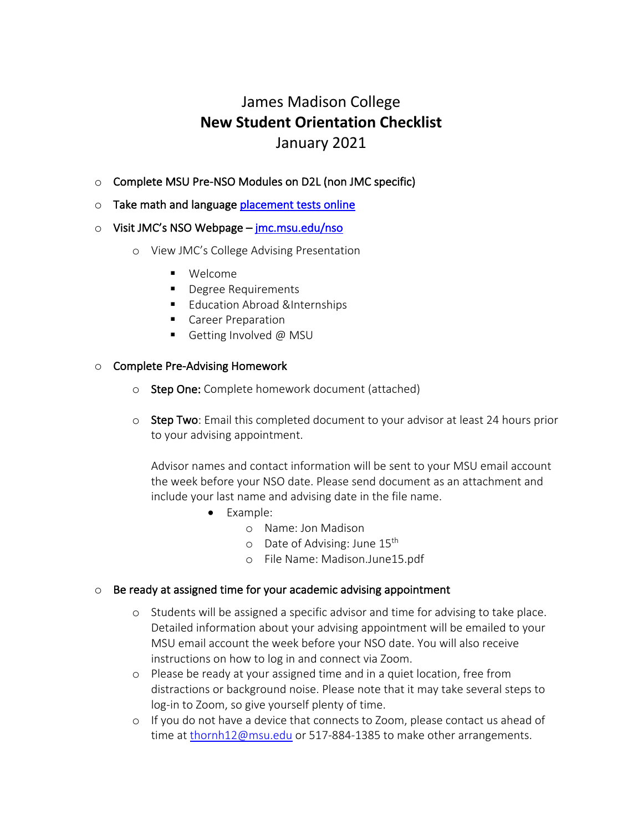# James Madison College **New Student Orientation Checklist** January 2021

- o Complete MSU Pre-NSO Modules on D2L (non JMC specific)
- o Take math and language placement tests online

### $\circ$  Visit JMC's NSO Webpage – jmc.msu.edu/nso

- o View JMC's College Advising Presentation
	- § Welcome
	- Degree Requirements
	- Education Abroad &Internships
	- Career Preparation
	- Getting Involved @ MSU

### o Complete Pre-Advising Homework

- o Step One: Complete homework document (attached)
- o Step Two: Email this completed document to your advisor at least 24 hours prior to your advising appointment.

Advisor names and contact information will be sent to your MSU email account the week before your NSO date. Please send document as an attachment and include your last name and advising date in the file name.

- Example:
	- o Name: Jon Madison
	- $\circ$  Date of Advising: June 15<sup>th</sup>
	- o File Name: Madison.June15.pdf

## $\circ$  Be ready at assigned time for your academic advising appointment

- o Students will be assigned a specific advisor and time for advising to take place. Detailed information about your advising appointment will be emailed to your MSU email account the week before your NSO date. You will also receive instructions on how to log in and connect via Zoom.
- o Please be ready at your assigned time and in a quiet location, free from distractions or background noise. Please note that it may take several steps to log-in to Zoom, so give yourself plenty of time.
- o If you do not have a device that connects to Zoom, please contact us ahead of time at thornh12@msu.edu or 517-884-1385 to make other arrangements.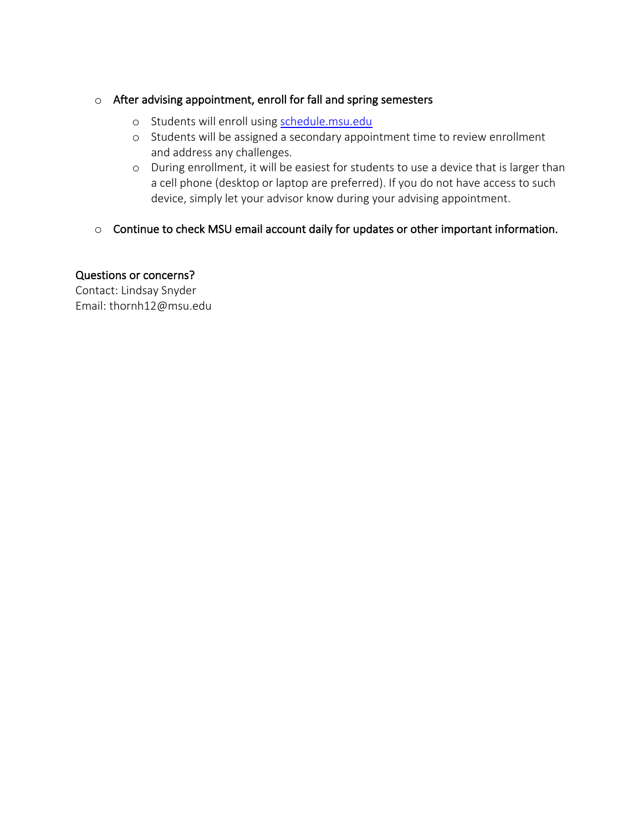## o After advising appointment, enroll for fall and spring semesters

- o Students will enroll using schedule.msu.edu
- o Students will be assigned a secondary appointment time to review enrollment and address any challenges.
- o During enrollment, it will be easiest for students to use a device that is larger than a cell phone (desktop or laptop are preferred). If you do not have access to such device, simply let your advisor know during your advising appointment.
- o Continue to check MSU email account daily for updates or other important information.

# Questions or concerns?

Contact: Lindsay Snyder Email: thornh12@msu.edu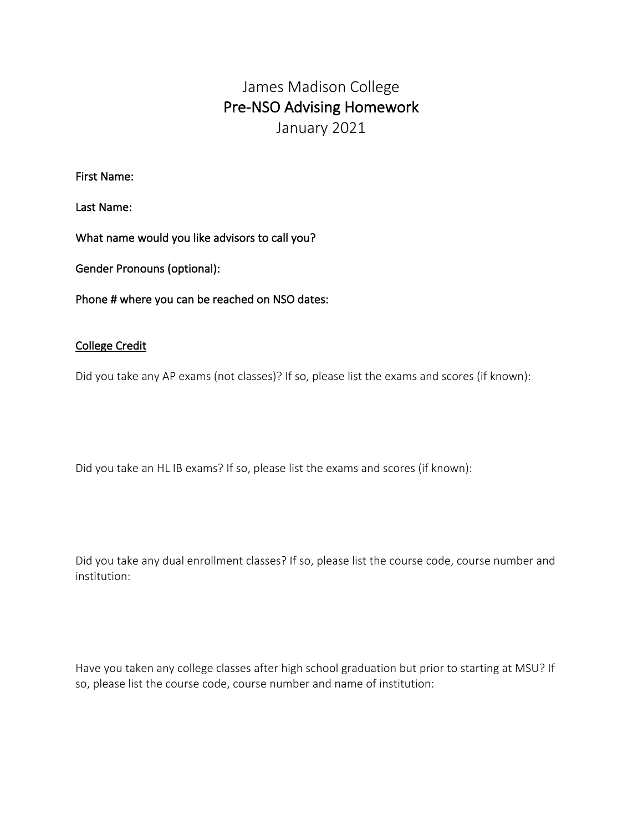# James Madison College Pre-NSO Advising Homework January 2021

First Name:

Last Name:

What name would you like advisors to call you?

Gender Pronouns (optional):

Phone # where you can be reached on NSO dates:

### College Credit

Did you take any AP exams (not classes)? If so, please list the exams and scores (if known):

Did you take an HL IB exams? If so, please list the exams and scores (if known):

Did you take any dual enrollment classes? If so, please list the course code, course number and institution:

Have you taken any college classes after high school graduation but prior to starting at MSU? If so, please list the course code, course number and name of institution: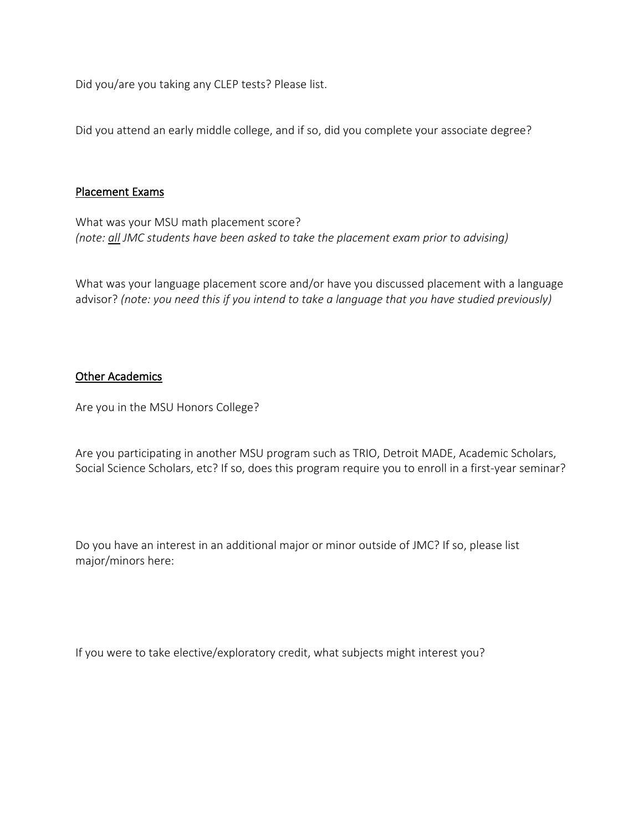Did you/are you taking any CLEP tests? Please list.

Did you attend an early middle college, and if so, did you complete your associate degree?

### Placement Exams

What was your MSU math placement score? *(note: all JMC students have been asked to take the placement exam prior to advising)* 

What was your language placement score and/or have you discussed placement with a language advisor? *(note: you need this if you intend to take a language that you have studied previously)*

### Other Academics

Are you in the MSU Honors College?

Are you participating in another MSU program such as TRIO, Detroit MADE, Academic Scholars, Social Science Scholars, etc? If so, does this program require you to enroll in a first-year seminar?

Do you have an interest in an additional major or minor outside of JMC? If so, please list major/minors here:

If you were to take elective/exploratory credit, what subjects might interest you?